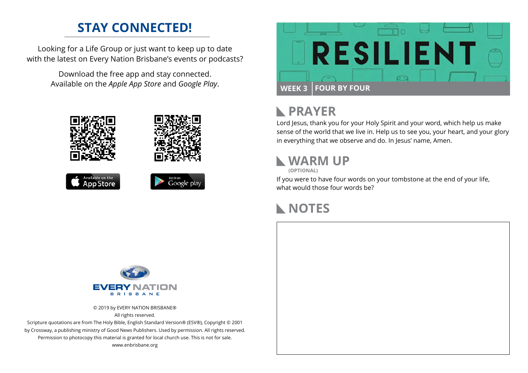## **STAY CONNECTED!**

Looking for a Life Group or just want to keep up to date with the latest on Every Nation Brisbane's events or podcasts?

> Download the free app and stay connected. Available on the *Apple App Store* and *Google Play*.





# **PRAYER**

Lord Jesus, thank you for your Holy Spirit and your word, which help us make sense of the world that we live in. Help us to see you, your heart, and your glory in everything that we observe and do. In Jesus' name, Amen.

# **WARM UP**

**(OPTIONAL)**

If you were to have four words on your tombstone at the end of your life, what would those four words be?

## **NOTES**



© 2019 by EVERY NATION BRISBANE® All rights reserved.

Scripture quotations are from The Holy Bible, English Standard Version® (ESV®), Copyright © 2001 by Crossway, a publishing ministry of Good News Publishers. Used by permission. All rights reserved. Permission to photocopy this material is granted for local church use. This is not for sale. www.enbrisbane.org